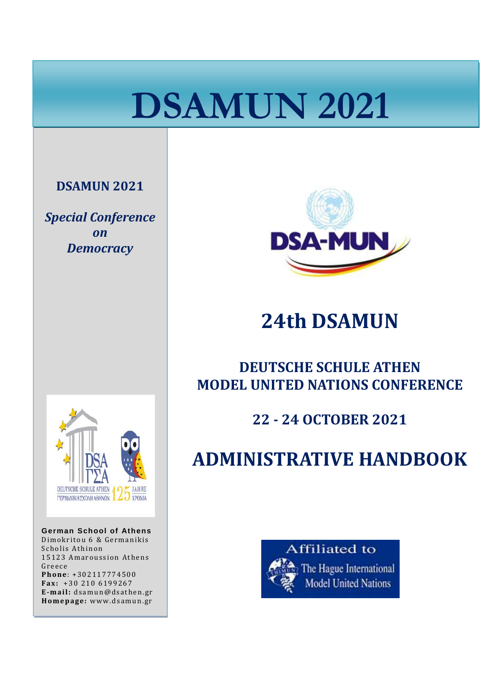# **DSAMUN 2021**

#### **DSAMUN 2021**

i

*Special Conference on Democracy*



**German School of Athens** Dimokritou 6 & Germanikis Scholis Athinon 15123 Amaroussion Athens Greece **Phone**: +302117774500 **Fax:** +30 210 6199267 **E-mail:** dsamun@dsathen.gr **Homepage:** www.dsamun.gr



## **24th DSAMUN**

### **DEUTSCHE SCHULE ATHEN MODEL UNITED NATIONS CONFERENCE**

### **22 - 24 OCTOBER 2021**

## **ADMINISTRATIVE HANDBOOK**

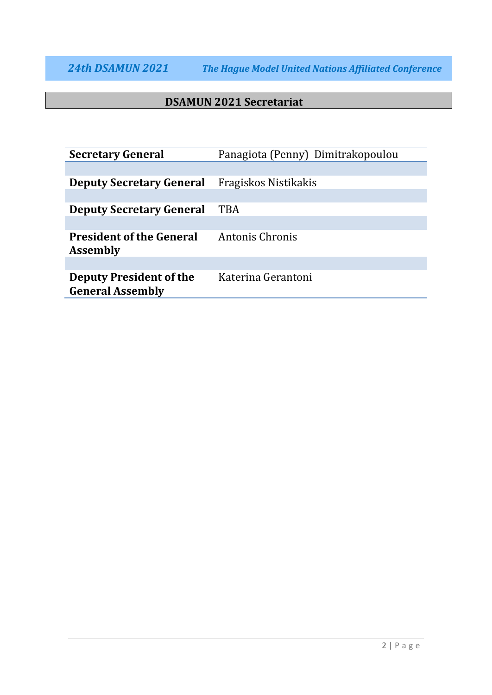#### **DSAMUN 2021 Secretariat**

| <b>Secretary General</b>                                  | Panagiota (Penny) Dimitrakopoulou |
|-----------------------------------------------------------|-----------------------------------|
|                                                           |                                   |
| <b>Deputy Secretary General</b>                           | Fragiskos Nistikakis              |
|                                                           |                                   |
| <b>Deputy Secretary General</b>                           | <b>TBA</b>                        |
|                                                           |                                   |
| <b>President of the General</b><br><b>Assembly</b>        | Antonis Chronis                   |
|                                                           |                                   |
| <b>Deputy President of the</b><br><b>General Assembly</b> | Katerina Gerantoni                |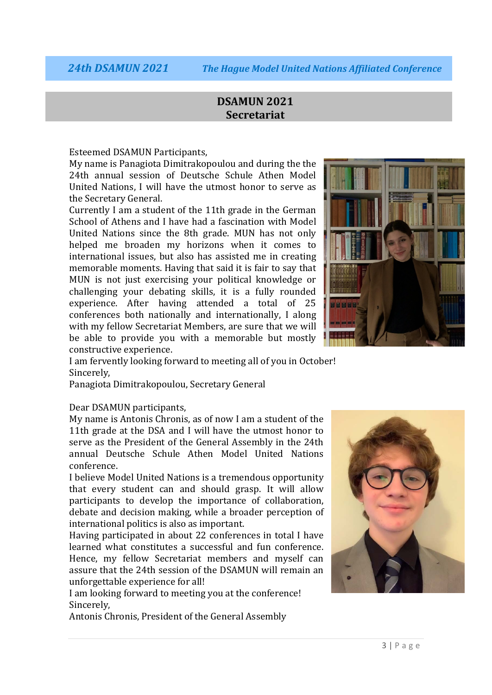#### **DSAMUN 2021 Secretariat**

Esteemed DSAMUN Participants,

My name is Panagiota Dimitrakopoulou and during the the 24th annual session of Deutsche Schule Athen Model United Nations, I will have the utmost honor to serve as the Secretary General.

Currently I am a student of the 11th grade in the German School of Athens and I have had a fascination with Model United Nations since the 8th grade. MUN has not only helped me broaden my horizons when it comes to international issues, but also has assisted me in creating memorable moments. Having that said it is fair to say that MUN is not just exercising your political knowledge or challenging your debating skills, it is a fully rounded experience. After having attended a total of 25 conferences both nationally and internationally, I along with my fellow Secretariat Members, are sure that we will be able to provide you with a memorable but mostly constructive experience.



I am fervently looking forward to meeting all of you in October! Sincerely,

Panagiota Dimitrakopoulou, Secretary General

Dear DSAMUN participants,

My name is Antonis Chronis, as of now I am a student of the 11th grade at the DSA and I will have the utmost honor to serve as the President of the General Assembly in the 24th annual Deutsche Schule Athen Model United Nations conference.

I believe Model United Nations is a tremendous opportunity that every student can and should grasp. It will allow participants to develop the importance of collaboration, debate and decision making, while a broader perception of international politics is also as important.

Having participated in about 22 conferences in total I have learned what constitutes a successful and fun conference. Hence, my fellow Secretariat members and myself can assure that the 24th session of the DSAMUN will remain an unforgettable experience for all!

I am looking forward to meeting you at the conference! Sincerely,

Antonis Chronis, President of the General Assembly

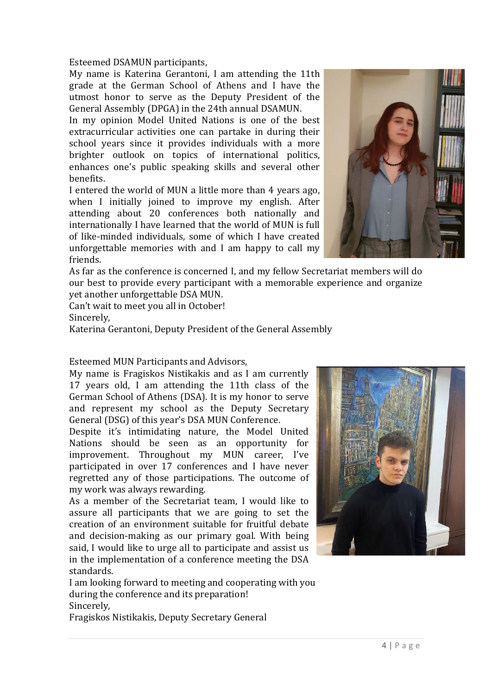Esteemed DSAMUN participants,

My name is Katerina Gerantoni, I am attending the 11th grade at the German School of Athens and I have the utmost honor to serve as the Deputy President of the General Assembly (DPGA) in the 24th annual DSAMUN.

In my opinion Model United Nations is one of the best extracurricular activities one can partake in during their school years since it provides individuals with a more brighter outlook on topics of international politics, enhances one's public speaking skills and several other benefits.

I entered the world of MUN a little more than 4 years ago, when I initially joined to improve my english. After attending about 20 conferences both nationally and internationally I have learned that the world of MUN is full of like-minded individuals, some of which I have created unforgettable memories with and I am happy to call my friends.



As far as the conference is concerned I, and my fellow Secretariat members will do our best to provide every participant with a memorable experience and organize yet another unforgettable DSA MUN.

Can't wait to meet you all in October! Sincerely,

Katerina Gerantoni, Deputy President of the General Assembly

Esteemed MUN Participants and Advisors,

My name is Fragiskos Nistikakis and as I am currently 17 years old, I am attending the 11th class of the German School of Athens (DSA). It is my honor to serve and represent my school as the Deputy Secretary General (DSG) of this year's DSA MUN Conference.

Despite it's intimidating nature, the Model United Nations should be seen as an opportunity for improvement. Throughout my MUN career, I've participated in over 17 conferences and I have never regretted any of those participations. The outcome of my work was always rewarding.

As a member of the Secretariat team, I would like to assure all participants that we are going to set the creation of an environment suitable for fruitful debate and decision-making as our primary goal. With being said, I would like to urge all to participate and assist us in the implementation of a conference meeting the DSA standards.

I am looking forward to meeting and cooperating with you during the conference and its preparation! Sincerely,

Fragiskos Nistikakis, Deputy Secretary General

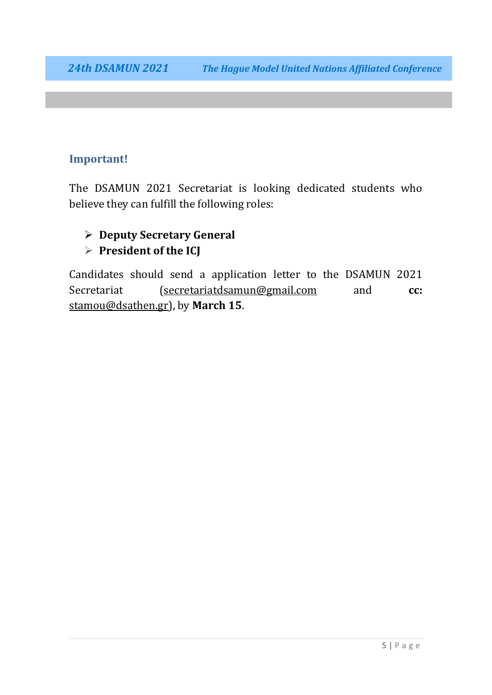#### **Important!**

The DSAMUN 2021 Secretariat is looking dedicated students who believe they can fulfill the following roles:

#### **Deputy Secretary General President of the ICJ**

Candidates should send a application letter to the DSAMUN 2021 Secretariat [\(secretariatdsamun@gmail.com](mailto:secretariatdsamun@gmail.com) and **cc:** [stamou@dsathen.gr\)](mailto:stamou@dsathen.gr), by **March 15**.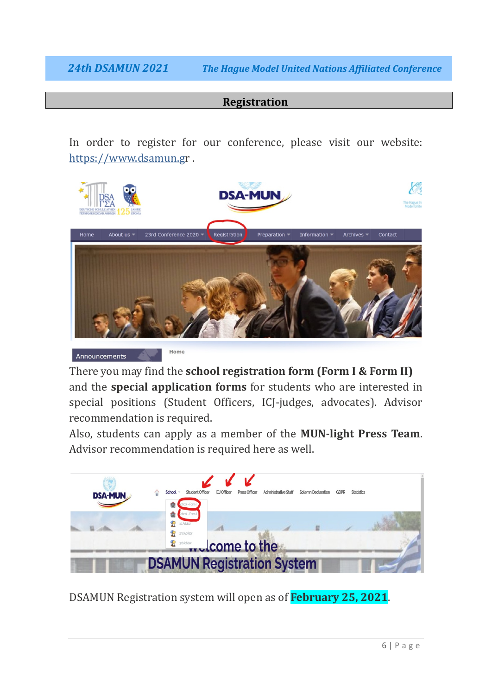#### **Registration**

In order to register for our conference, please visit our website: [https://www.dsamun.gr](https://www.dsamun.g/) .



There you may find the **school registration form (Form I & Form II)** and the **special application forms** for students who are interested in special positions (Student Officers, ICJ-judges, advocates). Advisor recommendation is required.

Also, students can apply as a member of the **MUN-light Press Team**. Advisor recommendation is required here as well.



DSAMUN Registration system will open as of **February 25, 2021**.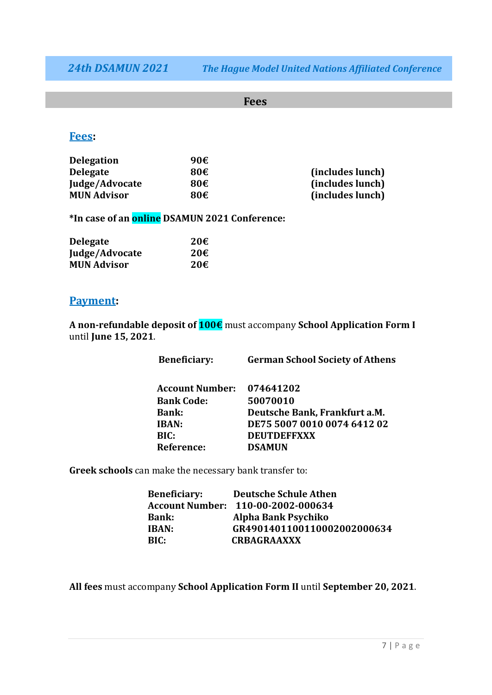#### **Fees**

#### **Fees:**

| <b>Delegation</b>  | 90€ |                  |
|--------------------|-----|------------------|
| <b>Delegate</b>    | 80€ | (includes lunch) |
| Judge/Advocate     | 80€ | (includes lunch) |
| <b>MUN Advisor</b> | 80€ | (includes lunch) |

**\*In case of an online DSAMUN 2021 Conference:**

| <b>Delegate</b>    | 20E |
|--------------------|-----|
| Judge/Advocate     | 20€ |
| <b>MUN Advisor</b> | 20€ |

#### **Payment:**

**A non-refundable deposit of 100€** must accompany **School Application Form I** until **June 15, 2021**.

| <b>Beneficiary:</b>    | <b>German School Society of Athens</b> |
|------------------------|----------------------------------------|
|                        |                                        |
| <b>Account Number:</b> | 074641202                              |
| <b>Bank Code:</b>      | 50070010                               |
| <b>Bank:</b>           | Deutsche Bank, Frankfurt a.M.          |
| IBAN:                  | DE75 5007 0010 0074 6412 02            |
| BIC:                   | <b>DEUTDEFFXXX</b>                     |
| <b>Reference:</b>      | <b>DSAMUN</b>                          |

**Greek schools** can make the necessary bank transfer to:

| <b>Beneficiary:</b> | <b>Deutsche Schule Athen</b>       |
|---------------------|------------------------------------|
|                     | Account Number: 110-00-2002-000634 |
| <b>Bank:</b>        | Alpha Bank Psychiko                |
| IBAN:               | GR4901401100110002002000634        |
| BIC:                | <b>CRBAGRAAXXX</b>                 |
|                     |                                    |

**All fees** must accompany **School Application Form II** until **September 20, 2021**.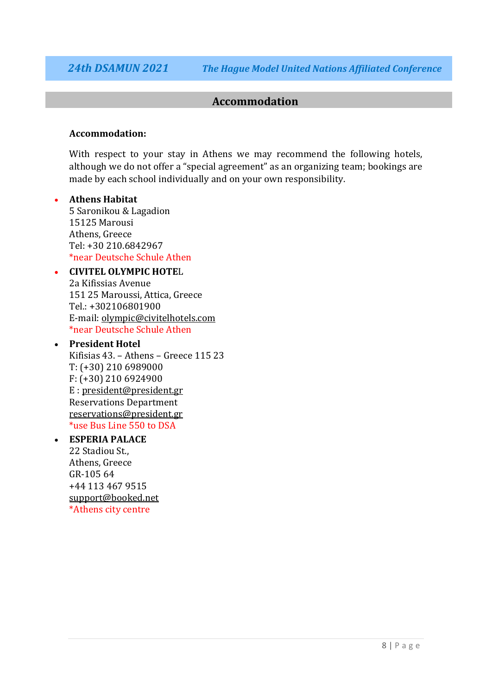#### **Accommodation**

#### **Accommodation:**

With respect to your stay in Athens we may recommend the following hotels, although we do not offer a "special agreement" as an organizing team; bookings are made by each school individually and on your own responsibility.

#### • **Athens Habitat**

5 Saronikou & Lagadion 15125 Marousi Athens, Greece Tel: +30 210.6842967 \*near Deutsche Schule Athen

#### • **CIVITEL OLYMPIC HOTE**L

2a Kifissias Avenue 151 25 Maroussi, Attica, Greece Tel.: +302106801900 E-mail: [olympic@civitelhotels.com](mailto:olympic@civitelhotels.com) \*near Deutsche Schule Athen

#### • **President Hotel**

Κifisias 43. – Αthens – Greece 115 23 Τ: (+30) 210 6989000 F: (+30) 210 6924900 E : [president@president.gr](mailto:president@president.gr) Reservations Department [reservations@president.gr](mailto:reservations@president.gr) \*use Bus Line 550 to DSA

#### • **ESPERIA PALACE**

22 Stadiou St., Athens, Greece GR-105 64 +44 113 467 9515 [support@booked.net](mailto:support@booked.net) \*Athens city centre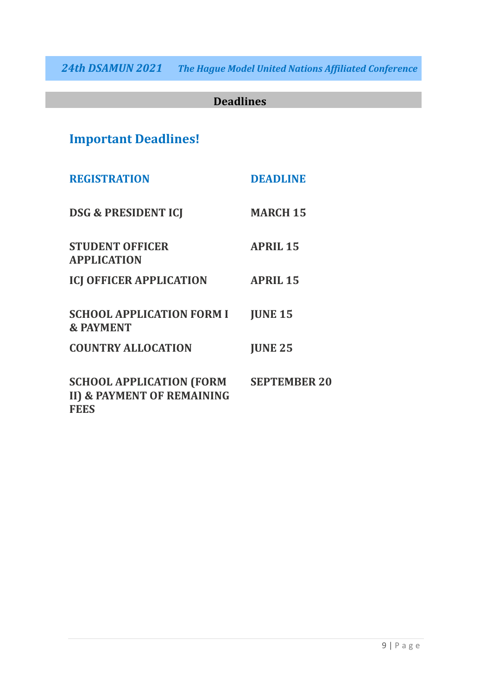### **Deadlines**

### **Important Deadlines!**

| <b>REGISTRATION</b>                                                          | <b>DEADLINE</b>  |
|------------------------------------------------------------------------------|------------------|
| <b>DSG &amp; PRESIDENT ICJ</b>                                               | <b>MARCH 15</b>  |
| <b>STUDENT OFFICER</b><br><b>APPLICATION</b>                                 | <b>APRIL 15</b>  |
| <b>ICJ OFFICER APPLICATION</b>                                               | <b>APRIL 15</b>  |
| <b>SCHOOL APPLICATION FORM I</b><br><b>&amp; PAYMENT</b>                     | <b>JUNE 15</b>   |
| <b>COUNTRY ALLOCATION</b>                                                    | <b>JUNE 25</b>   |
| <b>SCHOOL APPLICATION (FORM</b><br>II) & PAYMENT OF REMAINING<br><b>FEES</b> | <b>SEPTEMBER</b> |

**20**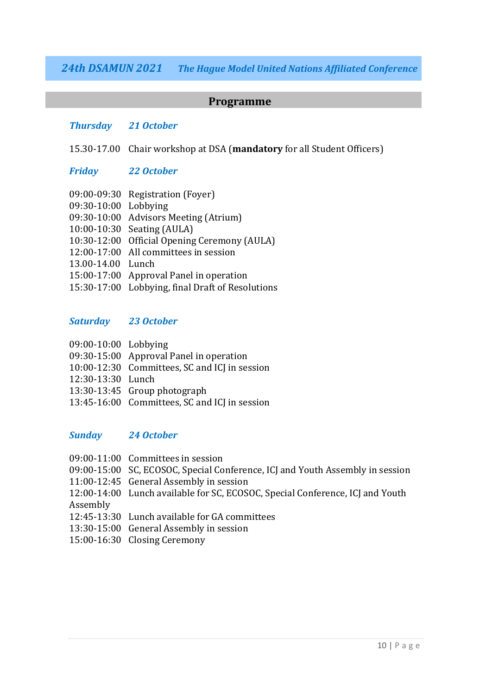#### **Programme**

#### *Thursday 21 October*

15.30-17.00 Chair workshop at DSA (**mandatory** for all Student Officers)

#### *Friday 22 October*

| 09:30-10:00 Lobbying | 09:00-09:30 Registration (Foyer)                 |
|----------------------|--------------------------------------------------|
|                      | 09:30-10:00 Advisors Meeting (Atrium)            |
|                      | 10:00-10:30 Seating (AULA)                       |
|                      | 10:30-12:00 Official Opening Ceremony (AULA)     |
|                      | 12:00-17:00 All committees in session            |
| 13.00-14.00 Lunch    |                                                  |
|                      | 15:00-17:00 Approval Panel in operation          |
|                      | 15:30-17:00 Lobbying, final Draft of Resolutions |

#### *Saturday 23 October*

| 09:00-10:00 Lobbying |
|----------------------|
|                      |
|                      |
|                      |
|                      |
|                      |
|                      |

- 09:30-15:00 Approval Panel in operation
- 10:00-12:30 Committees, SC and ICJ in session
- 12:30-13:30 Lunch
- 13:30-13:45 Group photograph
- 13:45-16:00 Committees, SC and ICJ in session

#### *Sunday 24 October*

- 09:00-11:00 Committees in session
- 09:00-15:00 SC, ECOSOC, Special Conference, ICJ and Youth Assembly in session
- 11:00-12:45 General Assembly in session
- 12:00-14:00 Lunch available for SC, ECOSOC, Special Conference, ICJ and Youth Assembly
- 12:45-13:30 Lunch available for GA committees
- 13:30-15:00 General Assembly in session
- 15:00-16:30 Closing Ceremony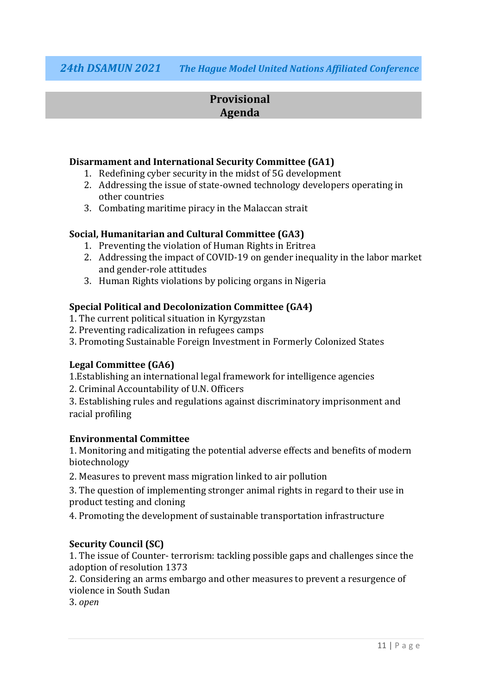#### **Provisional Agenda**

#### **Disarmament and International Security Committee (GA1)**

- 1. Redefining cyber security in the midst of 5G development
- 2. Addressing the issue of state-owned technology developers operating in other countries
- 3. Combating maritime piracy in the Malaccan strait

#### **Social, Humanitarian and Cultural Committee (GA3)**

- 1. Preventing the violation of Human Rights in Eritrea
- 2. Addressing the impact of COVID-19 on gender inequality in the labor market and gender-role attitudes
- 3. Human Rights violations by policing organs in Nigeria

#### **Special Political and Decolonization Committee (GA4)**

- 1. The current political situation in Kyrgyzstan
- 2. Preventing radicalization in refugees camps
- 3. Promoting Sustainable Foreign Investment in Formerly Colonized States

#### **Legal Committee (GA6)**

1.Establishing an international legal framework for intelligence agencies

2. Criminal Accountability of U.N. Officers

3. Establishing rules and regulations against discriminatory imprisonment and racial profiling

#### **Environmental Committee**

1. Monitoring and mitigating the potential adverse effects and benefits of modern biotechnology

2. Measures to prevent mass migration linked to air pollution

3. The question of implementing stronger animal rights in regard to their use in product testing and cloning

4. Promoting the development of sustainable transportation infrastructure

#### **Security Council (SC)**

1. The issue of Counter- terrorism: tackling possible gaps and challenges since the adoption of resolution 1373

2. Considering an arms embargo and other measures to prevent a resurgence of violence in South Sudan

3. *open*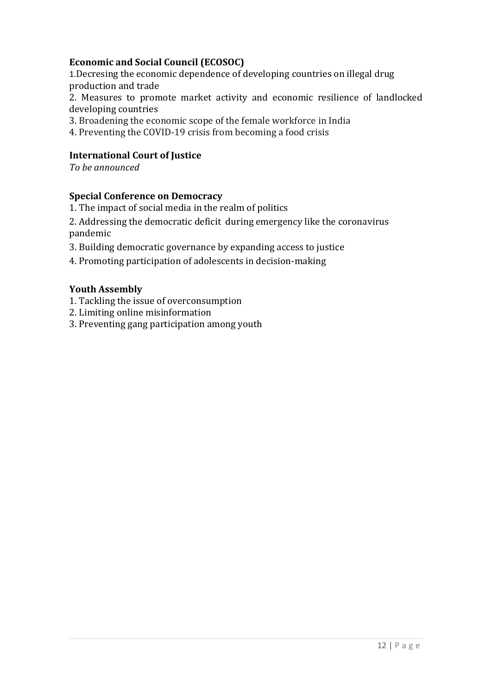#### **Economic and Social Council (ECOSOC)**

1.Decresing the economic dependence of developing countries on illegal drug production and trade

2. Measures to promote market activity and economic resilience of landlocked developing countries

3. Broadening the economic scope of the female workforce in India

4. Preventing the COVID-19 crisis from becoming a food crisis

#### **International Court of Justice**

*To be announced*

#### **Special Conference on Democracy**

1. The impact of social media in the realm of politics

2. Addressing the democratic deficit during emergency like the coronavirus pandemic

3. Building democratic governance by expanding access to justice

4. Promoting participation of adolescents in decision-making

#### **Youth Assembly**

1. Tackling the issue of overconsumption

2. Limiting online misinformation

3. Preventing gang participation among youth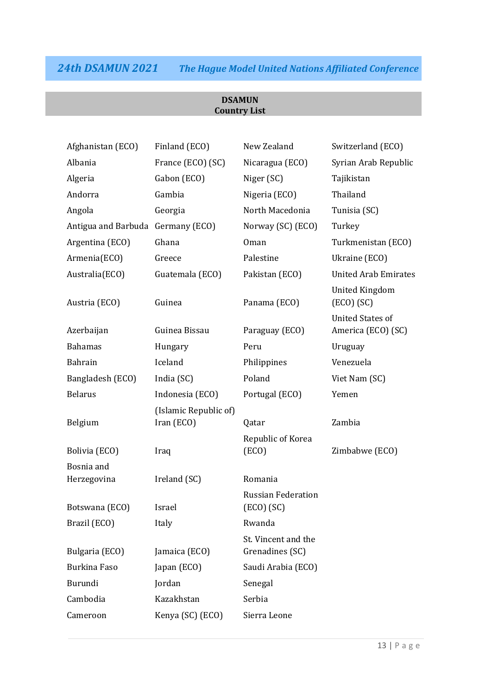#### **DSAMUN Country List**

| Afghanistan (ECO)                 | Finland (ECO)                       | New Zealand                             | Switzerland (ECO)                             |
|-----------------------------------|-------------------------------------|-----------------------------------------|-----------------------------------------------|
| Albania                           | France (ECO) (SC)                   | Nicaragua (ECO)                         | Syrian Arab Republic                          |
| Algeria                           | Gabon (ECO)                         | Niger (SC)                              | Tajikistan                                    |
| Andorra                           | Gambia                              | Nigeria (ECO)                           | Thailand                                      |
| Angola                            | Georgia                             | North Macedonia                         | Tunisia (SC)                                  |
| Antigua and Barbuda Germany (ECO) |                                     | Norway (SC) (ECO)                       | Turkey                                        |
| Argentina (ECO)                   | Ghana                               | Oman                                    | Turkmenistan (ECO)                            |
| Armenia(ECO)                      | Greece                              | Palestine                               | Ukraine (ECO)                                 |
| Australia(ECO)                    | Guatemala (ECO)                     | Pakistan (ECO)                          | <b>United Arab Emirates</b>                   |
| Austria (ECO)                     | Guinea                              | Panama (ECO)                            | <b>United Kingdom</b><br>(ECO) (SC)           |
| Azerbaijan                        | Guinea Bissau                       | Paraguay (ECO)                          | <b>United States of</b><br>America (ECO) (SC) |
| <b>Bahamas</b>                    | Hungary                             | Peru                                    | Uruguay                                       |
| <b>Bahrain</b>                    | Iceland                             | Philippines                             | Venezuela                                     |
| Bangladesh (ECO)                  | India (SC)                          | Poland                                  | Viet Nam (SC)                                 |
| <b>Belarus</b>                    | Indonesia (ECO)                     | Portugal (ECO)                          | Yemen                                         |
| Belgium                           | (Islamic Republic of)<br>Iran (ECO) | Qatar                                   | Zambia                                        |
| Bolivia (ECO)                     | Iraq                                | Republic of Korea<br>(ECO)              | Zimbabwe (ECO)                                |
| Bosnia and                        |                                     |                                         |                                               |
| Herzegovina                       | Ireland (SC)                        | Romania                                 |                                               |
| Botswana (ECO)                    | Israel                              | <b>Russian Federation</b><br>(ECO) (SC) |                                               |
| Brazil (ECO)                      | Italy                               | Rwanda                                  |                                               |
| Bulgaria (ECO)                    | Jamaica (ECO)                       | St. Vincent and the<br>Grenadines (SC)  |                                               |
| <b>Burkina Faso</b>               | Japan (ECO)                         | Saudi Arabia (ECO)                      |                                               |
| Burundi                           | Jordan                              | Senegal                                 |                                               |
| Cambodia                          | Kazakhstan                          | Serbia                                  |                                               |
| Cameroon                          | Kenya (SC) (ECO)                    | Sierra Leone                            |                                               |
|                                   |                                     |                                         |                                               |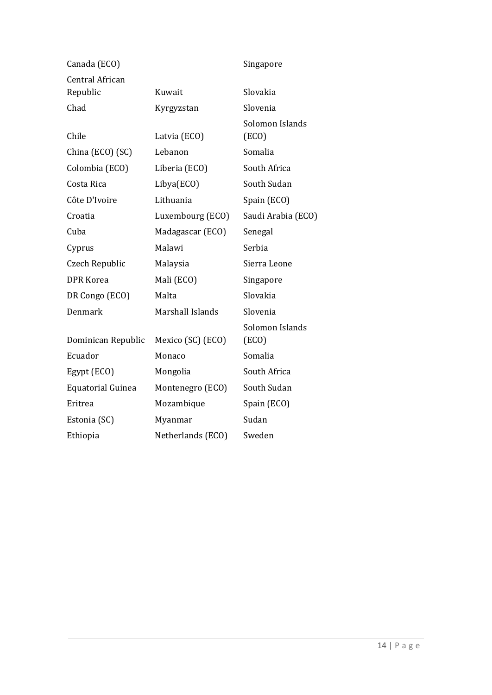| Canada (ECO)             |                   | Singapore                |
|--------------------------|-------------------|--------------------------|
| <b>Central African</b>   |                   |                          |
| Republic                 | Kuwait            | Slovakia                 |
| Chad                     | Kyrgyzstan        | Slovenia                 |
| Chile                    | Latvia (ECO)      | Solomon Islands<br>(ECO) |
| China (ECO) (SC)         | Lebanon           | Somalia                  |
| Colombia (ECO)           | Liberia (ECO)     | South Africa             |
| Costa Rica               | Libya(ECO)        | South Sudan              |
| Côte D'Ivoire            | Lithuania         | Spain (ECO)              |
| Croatia                  | Luxembourg (ECO)  | Saudi Arabia (ECO)       |
| Cuba                     | Madagascar (ECO)  | Senegal                  |
| Cyprus                   | Malawi            | Serbia                   |
| Czech Republic           | Malaysia          | Sierra Leone             |
| <b>DPR Korea</b>         | Mali (ECO)        | Singapore                |
| DR Congo (ECO)           | Malta             | Slovakia                 |
| Denmark                  | Marshall Islands  | Slovenia                 |
| Dominican Republic       | Mexico (SC) (ECO) | Solomon Islands<br>(ECO) |
| Ecuador                  | Monaco            | Somalia                  |
| Egypt (ECO)              | Mongolia          | South Africa             |
| <b>Equatorial Guinea</b> | Montenegro (ECO)  | South Sudan              |
| Eritrea                  | Mozambique        | Spain (ECO)              |
| Estonia (SC)             | Myanmar           | Sudan                    |
| Ethiopia                 | Netherlands (ECO) | Sweden                   |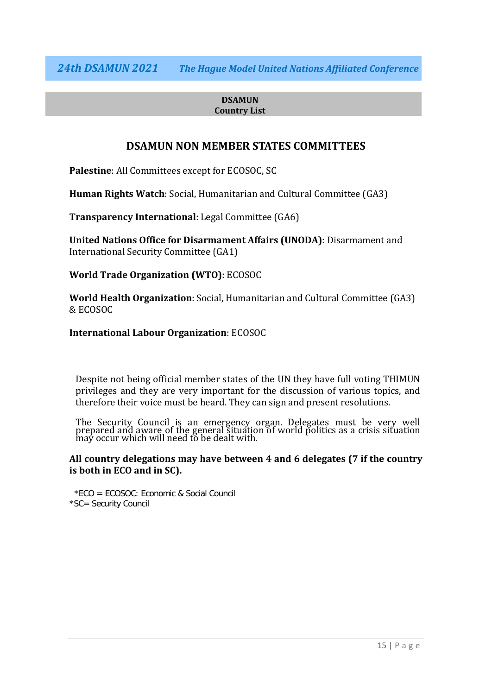#### **DSAMUN Country List**

#### **DSAMUN NON MEMBER STATES COMMITTEES**

**Palestine**: All Committees except for ECOSOC, SC

**Human Rights Watch**: Social, Humanitarian and Cultural Committee (GA3)

**Transparency International**: Legal Committee (GA6)

**United Nations Office for Disarmament Affairs (UNODA)**: Disarmament and International Security Committee (GA1)

**World Trade Organization (WTO)**: ECOSOC

**World Health Organization**: Social, Humanitarian and Cultural Committee (GA3) & ECOSOC

**International Labour Organization**: ECOSOC

Despite not being official member states of the UN they have full voting THIMUN privileges and they are very important for the discussion of various topics, and therefore their voice must be heard. They can sign and present resolutions.

The Security Council is an emergency organ. Delegates must be very well prepared and aware of the general situation of world politics as a crisis situation may occur which will need to be dealt with.

#### **All country delegations may have between 4 and 6 delegates (7 if the country is both in ECO and in SC).**

\*ECO = ECOSOC: Economic & Social Council \*SC= Security Council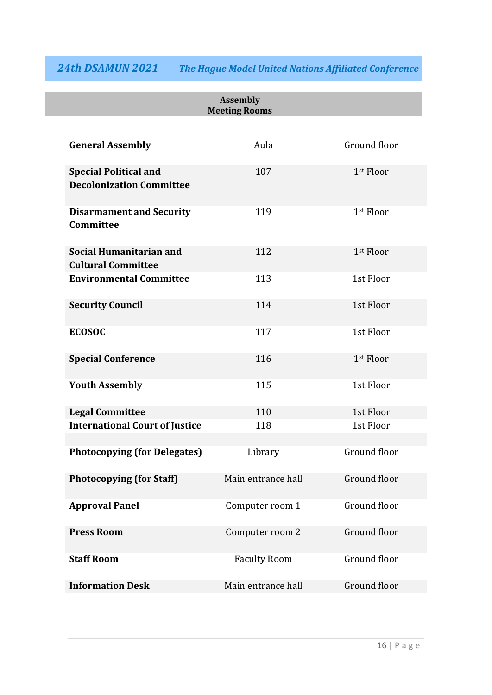|                                                                 | <b>Assembly</b><br><b>Meeting Rooms</b> |              |
|-----------------------------------------------------------------|-----------------------------------------|--------------|
| <b>General Assembly</b>                                         | Aula                                    | Ground floor |
| <b>Special Political and</b><br><b>Decolonization Committee</b> | 107                                     | 1st Floor    |
| <b>Disarmament and Security</b><br>Committee                    | 119                                     | 1st Floor    |
| Social Humanitarian and<br><b>Cultural Committee</b>            | 112                                     | 1st Floor    |
| <b>Environmental Committee</b>                                  | 113                                     | 1st Floor    |
| <b>Security Council</b>                                         | 114                                     | 1st Floor    |
| <b>ECOSOC</b>                                                   | 117                                     | 1st Floor    |
| <b>Special Conference</b>                                       | 116                                     | 1st Floor    |
| <b>Youth Assembly</b>                                           | 115                                     | 1st Floor    |
| <b>Legal Committee</b>                                          | 110                                     | 1st Floor    |
| <b>International Court of Justice</b>                           | 118                                     | 1st Floor    |
| <b>Photocopying (for Delegates)</b>                             | Library                                 | Ground floor |
| <b>Photocopying (for Staff)</b>                                 | Main entrance hall                      | Ground floor |
| <b>Approval Panel</b>                                           | Computer room 1                         | Ground floor |
| <b>Press Room</b>                                               | Computer room 2                         | Ground floor |
| <b>Staff Room</b>                                               | <b>Faculty Room</b>                     | Ground floor |
| <b>Information Desk</b>                                         | Main entrance hall                      | Ground floor |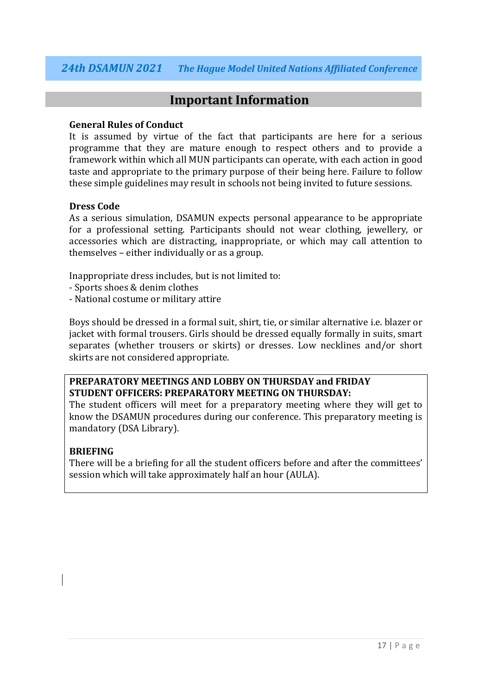#### **Important Information**

#### **General Rules of Conduct**

It is assumed by virtue of the fact that participants are here for a serious programme that they are mature enough to respect others and to provide a framework within which all MUN participants can operate, with each action in good taste and appropriate to the primary purpose of their being here. Failure to follow these simple guidelines may result in schools not being invited to future sessions.

#### **Dress Code**

As a serious simulation, DSAMUN expects personal appearance to be appropriate for a professional setting. Participants should not wear clothing, jewellery, or accessories which are distracting, inappropriate, or which may call attention to themselves – either individually or as a group.

Inappropriate dress includes, but is not limited to:

- Sports shoes & denim clothes
- National costume or military attire

Boys should be dressed in a formal suit, shirt, tie, or similar alternative i.e. blazer or jacket with formal trousers. Girls should be dressed equally formally in suits, smart separates (whether trousers or skirts) or dresses. Low necklines and/or short skirts are not considered appropriate.

#### **PREPARATORY MEETINGS AND LOBBY ON THURSDAY and FRIDAY STUDENT OFFICERS: PREPARATORY MEETING ON THURSDAY:**

The student officers will meet for a preparatory meeting where they will get to know the DSAMUN procedures during our conference. This preparatory meeting is mandatory (DSA Library).

#### **BRIEFING**

There will be a briefing for all the student officers before and after the committees' session which will take approximately half an hour (AULA).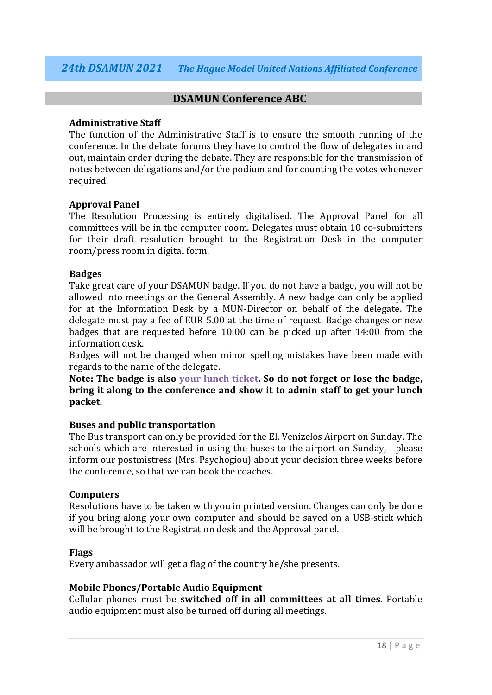#### **DSAMUN Conference ABC**

#### **Administrative Staff**

The function of the Administrative Staff is to ensure the smooth running of the conference. In the debate forums they have to control the flow of delegates in and out, maintain order during the debate. They are responsible for the transmission of notes between delegations and/or the podium and for counting the votes whenever required.

#### **Approval Panel**

The Resolution Processing is entirely digitalised. The Approval Panel for all committees will be in the computer room. Delegates must obtain 10 co-submitters for their draft resolution brought to the Registration Desk in the computer room/press room in digital form.

#### **Badges**

Take great care of your DSAMUN badge. If you do not have a badge, you will not be allowed into meetings or the General Assembly. A new badge can only be applied for at the Information Desk by a MUN-Director on behalf of the delegate. The delegate must pay a fee of EUR 5.00 at the time of request. Badge changes or new badges that are requested before 10:00 can be picked up after 14:00 from the information desk.

Badges will not be changed when minor spelling mistakes have been made with regards to the name of the delegate.

**Note: The badge is also your lunch ticket. So do not forget or lose the badge, bring it along to the conference and show it to admin staff to get your lunch packet.** 

#### **Buses and public transportation**

The Bus transport can only be provided for the El. Venizelos Airport on Sunday. The schools which are interested in using the buses to the airport on Sunday, please inform our postmistress (Mrs. Psychogiou) about your decision three weeks before the conference, so that we can book the coaches.

#### **Computers**

Resolutions have to be taken with you in printed version. Changes can only be done if you bring along your own computer and should be saved on a USB-stick which will be brought to the Registration desk and the Approval panel.

#### **Flags**

Every ambassador will get a flag of the country he/she presents.

#### **Mobile Phones/Portable Audio Equipment**

Cellular phones must be **switched off in all committees at all times**. Portable audio equipment must also be turned off during all meetings.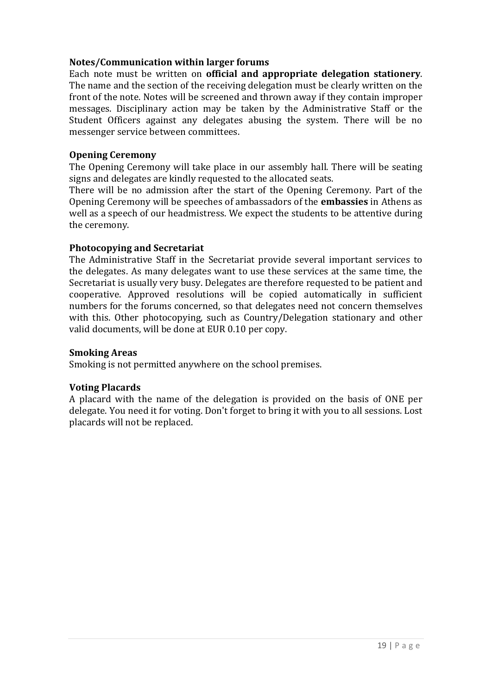#### **Notes/Communication within larger forums**

Each note must be written on **official and appropriate delegation stationery**. The name and the section of the receiving delegation must be clearly written on the front of the note. Notes will be screened and thrown away if they contain improper messages. Disciplinary action may be taken by the Administrative Staff or the Student Officers against any delegates abusing the system. There will be no messenger service between committees.

#### **Opening Ceremony**

The Opening Ceremony will take place in our assembly hall. There will be seating signs and delegates are kindly requested to the allocated seats.

There will be no admission after the start of the Opening Ceremony. Part of the Opening Ceremony will be speeches of ambassadors of the **embassies** in Athens as well as a speech of our headmistress. We expect the students to be attentive during the ceremony.

#### **Photocopying and Secretariat**

The Administrative Staff in the Secretariat provide several important services to the delegates. As many delegates want to use these services at the same time, the Secretariat is usually very busy. Delegates are therefore requested to be patient and cooperative. Approved resolutions will be copied automatically in sufficient numbers for the forums concerned, so that delegates need not concern themselves with this. Other photocopying, such as Country/Delegation stationary and other valid documents, will be done at EUR 0.10 per copy.

#### **Smoking Areas**

Smoking is not permitted anywhere on the school premises.

#### **Voting Placards**

A placard with the name of the delegation is provided on the basis of ONE per delegate. You need it for voting. Don't forget to bring it with you to all sessions. Lost placards will not be replaced.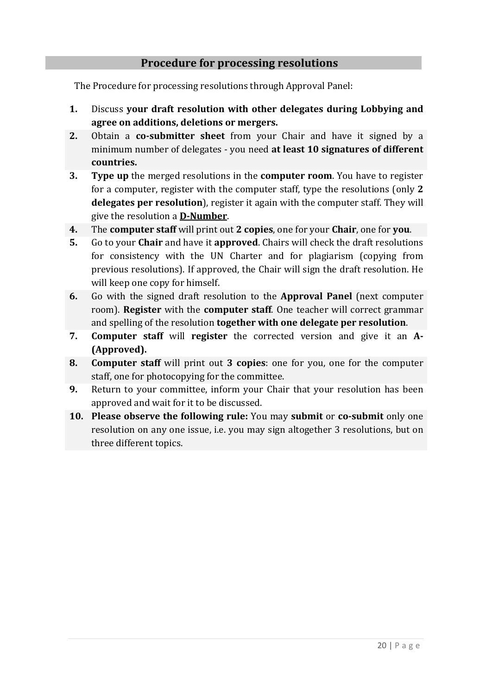#### **Procedure for processing resolutions**

The Procedure for processing resolutions through Approval Panel:

- **1.** Discuss **your draft resolution with other delegates during Lobbying and agree on additions, deletions or mergers.**
- **2.** Obtain a **co-submitter sheet** from your Chair and have it signed by a minimum number of delegates - you need **at least 10 signatures of different countries.**
- **3. Type up** the merged resolutions in the **computer room**. You have to register for a computer, register with the computer staff, type the resolutions (only **2 delegates per resolution**), register it again with the computer staff. They will give the resolution a **D-Number**.
- **4.** The **computer staff** will print out **2 copies**, one for your **Chair**, one for **you**.
- **5.** Go to your **Chair** and have it **approved**. Chairs will check the draft resolutions for consistency with the UN Charter and for plagiarism (copying from previous resolutions). If approved, the Chair will sign the draft resolution. He will keep one copy for himself.
- **6.** Go with the signed draft resolution to the **Approval Panel** (next computer room). **Register** with the **computer staff**. One teacher will correct grammar and spelling of the resolution **together with one delegate per resolution**.
- **7. Computer staff** will **register** the corrected version and give it an **A- (Approved).**
- **8. Computer staff** will print out **3 copies**: one for you, one for the computer staff, one for photocopying for the committee.
- **9.** Return to your committee, inform your Chair that your resolution has been approved and wait for it to be discussed.
- **10. Please observe the following rule:** You may **submit** or **co-submit** only one resolution on any one issue, i.e. you may sign altogether 3 resolutions, but on three different topics.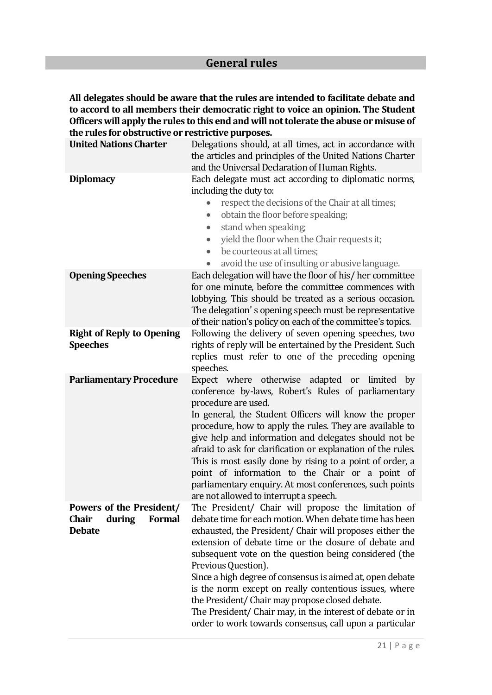#### **General rules**

**All delegates should be aware that the rules are intended to facilitate debate and to accord to all members their democratic right to voice an opinion. The Student Officers will apply the rules to this end and will not tolerate the abuse or misuse of the rules for obstructive or restrictive purposes.**

| <b>United Nations Charter</b>                                                 | Delegations should, at all times, act in accordance with<br>the articles and principles of the United Nations Charter<br>and the Universal Declaration of Human Rights.                                                                                                                                                                                                                                                                                                                                                                                                                                              |  |
|-------------------------------------------------------------------------------|----------------------------------------------------------------------------------------------------------------------------------------------------------------------------------------------------------------------------------------------------------------------------------------------------------------------------------------------------------------------------------------------------------------------------------------------------------------------------------------------------------------------------------------------------------------------------------------------------------------------|--|
| <b>Diplomacy</b>                                                              | Each delegate must act according to diplomatic norms,<br>including the duty to:<br>respect the decisions of the Chair at all times;<br>obtain the floor before speaking;<br>$\bullet$<br>stand when speaking;<br>$\bullet$<br>yield the floor when the Chair requests it;<br>$\bullet$<br>be courteous at all times;<br>$\bullet$<br>avoid the use of insulting or abusive language.                                                                                                                                                                                                                                 |  |
| <b>Opening Speeches</b>                                                       | Each delegation will have the floor of his/her committee<br>for one minute, before the committee commences with<br>lobbying. This should be treated as a serious occasion.<br>The delegation's opening speech must be representative<br>of their nation's policy on each of the committee's topics.                                                                                                                                                                                                                                                                                                                  |  |
| <b>Right of Reply to Opening</b><br><b>Speeches</b>                           | Following the delivery of seven opening speeches, two<br>rights of reply will be entertained by the President. Such<br>replies must refer to one of the preceding opening<br>speeches.                                                                                                                                                                                                                                                                                                                                                                                                                               |  |
| <b>Parliamentary Procedure</b>                                                | Expect where otherwise adapted<br><b>or</b><br>limited<br>by<br>conference by-laws, Robert's Rules of parliamentary<br>procedure are used.<br>In general, the Student Officers will know the proper<br>procedure, how to apply the rules. They are available to<br>give help and information and delegates should not be<br>afraid to ask for clarification or explanation of the rules.<br>This is most easily done by rising to a point of order, a<br>point of information to the Chair or a point of<br>parliamentary enquiry. At most conferences, such points<br>are not allowed to interrupt a speech.        |  |
| Powers of the President/<br><b>Formal</b><br>Chair<br>during<br><b>Debate</b> | The President/ Chair will propose the limitation of<br>debate time for each motion. When debate time has been<br>exhausted, the President/ Chair will proposes either the<br>extension of debate time or the closure of debate and<br>subsequent vote on the question being considered (the<br>Previous Question).<br>Since a high degree of consensus is aimed at, open debate<br>is the norm except on really contentious issues, where<br>the President/ Chair may propose closed debate.<br>The President/ Chair may, in the interest of debate or in<br>order to work towards consensus, call upon a particular |  |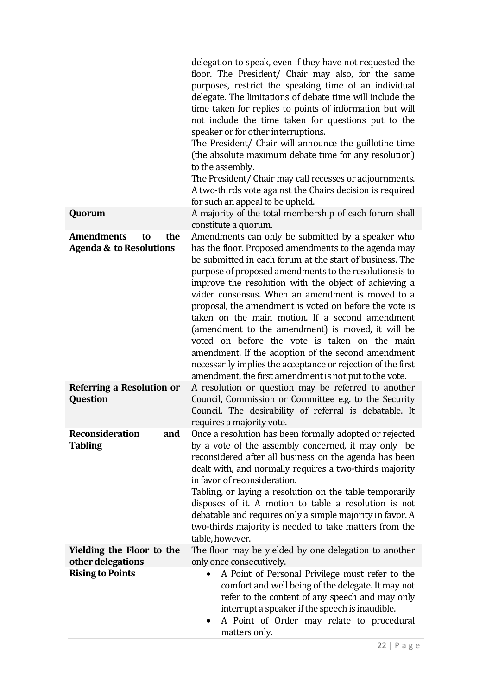|                                                                           | delegation to speak, even if they have not requested the<br>floor. The President/ Chair may also, for the same<br>purposes, restrict the speaking time of an individual<br>delegate. The limitations of debate time will include the<br>time taken for replies to points of information but will<br>not include the time taken for questions put to the<br>speaker or for other interruptions.<br>The President/ Chair will announce the guillotine time<br>(the absolute maximum debate time for any resolution)<br>to the assembly.<br>The President/ Chair may call recesses or adjournments.<br>A two-thirds vote against the Chairs decision is required<br>for such an appeal to be upheld.                                                |
|---------------------------------------------------------------------------|--------------------------------------------------------------------------------------------------------------------------------------------------------------------------------------------------------------------------------------------------------------------------------------------------------------------------------------------------------------------------------------------------------------------------------------------------------------------------------------------------------------------------------------------------------------------------------------------------------------------------------------------------------------------------------------------------------------------------------------------------|
| Quorum                                                                    | A majority of the total membership of each forum shall<br>constitute a quorum.                                                                                                                                                                                                                                                                                                                                                                                                                                                                                                                                                                                                                                                                   |
| <b>Amendments</b><br>the<br>to<br><b>Agenda &amp; to Resolutions</b>      | Amendments can only be submitted by a speaker who<br>has the floor. Proposed amendments to the agenda may<br>be submitted in each forum at the start of business. The<br>purpose of proposed amendments to the resolutions is to<br>improve the resolution with the object of achieving a<br>wider consensus. When an amendment is moved to a<br>proposal, the amendment is voted on before the vote is<br>taken on the main motion. If a second amendment<br>(amendment to the amendment) is moved, it will be<br>voted on before the vote is taken on the main<br>amendment. If the adoption of the second amendment<br>necessarily implies the acceptance or rejection of the first<br>amendment, the first amendment is not put to the vote. |
| Referring a Resolution or<br>Question                                     | A resolution or question may be referred to another<br>Council, Commission or Committee e.g. to the Security<br>Council. The desirability of referral is debatable. It<br>requires a majority vote.                                                                                                                                                                                                                                                                                                                                                                                                                                                                                                                                              |
| <b>Reconsideration</b><br>and<br><b>Tabling</b>                           | Once a resolution has been formally adopted or rejected<br>by a vote of the assembly concerned, it may only be<br>reconsidered after all business on the agenda has been<br>dealt with, and normally requires a two-thirds majority<br>in favor of reconsideration.<br>Tabling, or laying a resolution on the table temporarily<br>disposes of it. A motion to table a resolution is not<br>debatable and requires only a simple majority in favor. A<br>two-thirds majority is needed to take matters from the<br>table, however.                                                                                                                                                                                                               |
| Yielding the Floor to the<br>other delegations<br><b>Rising to Points</b> | The floor may be yielded by one delegation to another<br>only once consecutively.<br>A Point of Personal Privilege must refer to the<br>comfort and well being of the delegate. It may not<br>refer to the content of any speech and may only<br>interrupt a speaker if the speech is inaudible.<br>A Point of Order may relate to procedural<br>matters only.                                                                                                                                                                                                                                                                                                                                                                                   |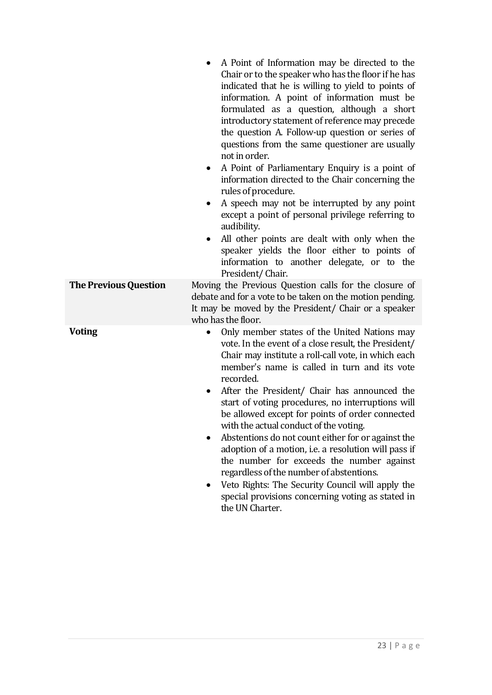|                              | A Point of Information may be directed to the<br>Chair or to the speaker who has the floor if he has<br>indicated that he is willing to yield to points of<br>information. A point of information must be<br>formulated as a question, although a short<br>introductory statement of reference may precede<br>the question A. Follow-up question or series of<br>questions from the same questioner are usually<br>not in order.<br>A Point of Parliamentary Enquiry is a point of<br>$\bullet$<br>information directed to the Chair concerning the<br>rules of procedure.<br>A speech may not be interrupted by any point<br>$\bullet$<br>except a point of personal privilege referring to<br>audibility.<br>All other points are dealt with only when the<br>$\bullet$               |
|------------------------------|-----------------------------------------------------------------------------------------------------------------------------------------------------------------------------------------------------------------------------------------------------------------------------------------------------------------------------------------------------------------------------------------------------------------------------------------------------------------------------------------------------------------------------------------------------------------------------------------------------------------------------------------------------------------------------------------------------------------------------------------------------------------------------------------|
|                              | speaker yields the floor either to points of<br>information to another delegate, or to the<br>President/Chair.                                                                                                                                                                                                                                                                                                                                                                                                                                                                                                                                                                                                                                                                          |
| <b>The Previous Question</b> | Moving the Previous Question calls for the closure of<br>debate and for a vote to be taken on the motion pending.<br>It may be moved by the President/ Chair or a speaker<br>who has the floor.                                                                                                                                                                                                                                                                                                                                                                                                                                                                                                                                                                                         |
| <b>Voting</b>                | Only member states of the United Nations may<br>$\bullet$<br>vote. In the event of a close result, the President/<br>Chair may institute a roll-call vote, in which each<br>member's name is called in turn and its vote<br>recorded.<br>After the President/ Chair has announced the<br>$\bullet$<br>start of voting procedures, no interruptions will<br>be allowed except for points of order connected<br>with the actual conduct of the voting.<br>Abstentions do not count either for or against the<br>adoption of a motion, i.e. a resolution will pass if<br>the number for exceeds the number against<br>regardless of the number of abstentions.<br>Veto Rights: The Security Council will apply the<br>special provisions concerning voting as stated in<br>the UN Charter. |